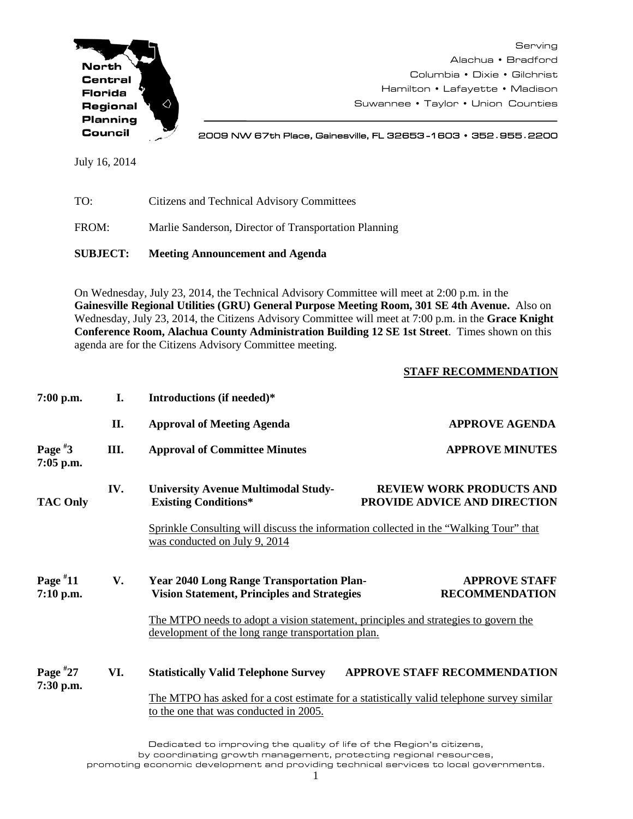

Serving Alachua • Bradford Columbia • Dixie • Gilchrist Hamilton • Lafayette • Madison Suwannee • Taylor • Union Counties

2009 NW 67th Place, Gainesville, FL 32653 -1603 • 352**.**955**.**2200

July 16, 2014

| TO:   | Citizens and Technical Advisory Committees            |
|-------|-------------------------------------------------------|
| FROM: | Marlie Sanderson, Director of Transportation Planning |

**SUBJECT: Meeting Announcement and Agenda**

On Wednesday, July 23, 2014, the Technical Advisory Committee will meet at 2:00 p.m. in the **Gainesville Regional Utilities (GRU) General Purpose Meeting Room, 301 SE 4th Avenue.** Also on Wednesday, July 23, 2014, the Citizens Advisory Committee will meet at 7:00 p.m. in the **Grace Knight Conference Room, Alachua County Administration Building 12 SE 1st Street**. Times shown on this agenda are for the Citizens Advisory Committee meeting.

## **STAFF RECOMMENDATION**

| $7:00$ p.m.               | I.   | Introductions (if needed)*                                                                                                          |                                                                                                                                           |  |  |
|---------------------------|------|-------------------------------------------------------------------------------------------------------------------------------------|-------------------------------------------------------------------------------------------------------------------------------------------|--|--|
|                           | II.  | <b>Approval of Meeting Agenda</b>                                                                                                   | <b>APPROVE AGENDA</b>                                                                                                                     |  |  |
| Page $*3$<br>$7:05$ p.m.  | III. | <b>Approval of Committee Minutes</b>                                                                                                | <b>APPROVE MINUTES</b>                                                                                                                    |  |  |
| <b>TAC Only</b>           | IV.  | <b>University Avenue Multimodal Study-</b><br><b>Existing Conditions*</b>                                                           | <b>REVIEW WORK PRODUCTS AND</b><br>PROVIDE ADVICE AND DIRECTION                                                                           |  |  |
|                           |      | Sprinkle Consulting will discuss the information collected in the "Walking Tour" that<br>was conducted on July 9, 2014              |                                                                                                                                           |  |  |
| Page $*11$<br>$7:10$ p.m. | V.   | <b>Year 2040 Long Range Transportation Plan-</b><br><b>Vision Statement, Principles and Strategies</b>                              | <b>APPROVE STAFF</b><br><b>RECOMMENDATION</b>                                                                                             |  |  |
|                           |      |                                                                                                                                     | The MTPO needs to adopt a vision statement, principles and strategies to govern the<br>development of the long range transportation plan. |  |  |
| Page $*27$<br>7:30 p.m.   | VI.  | <b>Statistically Valid Telephone Survey</b>                                                                                         | APPROVE STAFF RECOMMENDATION                                                                                                              |  |  |
|                           |      | The MTPO has asked for a cost estimate for a statistically valid telephone survey similar<br>to the one that was conducted in 2005. |                                                                                                                                           |  |  |